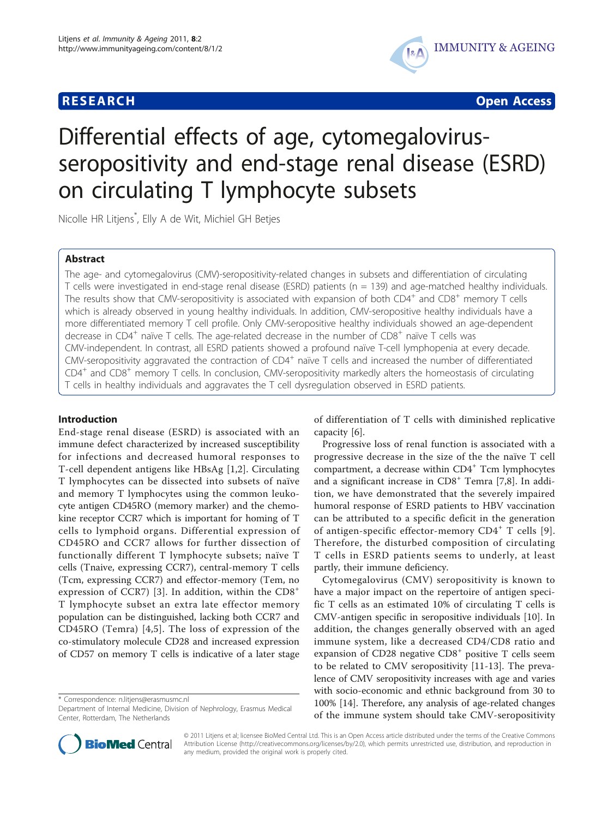

**RESEARCH CONTROL** CONTROL CONTROL CONTROL CONTROL CONTROL CONTROL CONTROL CONTROL CONTROL CONTROL CONTROL CONTROL

# Differential effects of age, cytomegalovirusseropositivity and end-stage renal disease (ESRD) on circulating T lymphocyte subsets

Nicolle HR Litjens\* , Elly A de Wit, Michiel GH Betjes

# Abstract

The age- and cytomegalovirus (CMV)-seropositivity-related changes in subsets and differentiation of circulating T cells were investigated in end-stage renal disease (ESRD) patients ( $n = 139$ ) and age-matched healthy individuals. The results show that CMV-seropositivity is associated with expansion of both  $CD4^+$  and  $CD8^+$  memory T cells which is already observed in young healthy individuals. In addition, CMV-seropositive healthy individuals have a more differentiated memory T cell profile. Only CMV-seropositive healthy individuals showed an age-dependent decrease in  $CD4^+$  naïve T cells. The age-related decrease in the number of  $CD8^+$  naïve T cells was CMV-independent. In contrast, all ESRD patients showed a profound naïve T-cell lymphopenia at every decade. CMV-seropositivity aggravated the contraction of  $CD4^+$  naïve T cells and increased the number of differentiated CD4<sup>+</sup> and CD8<sup>+</sup> memory T cells. In conclusion, CMV-seropositivity markedly alters the homeostasis of circulating T cells in healthy individuals and aggravates the T cell dysregulation observed in ESRD patients.

# Introduction

End-stage renal disease (ESRD) is associated with an immune defect characterized by increased susceptibility for infections and decreased humoral responses to T-cell dependent antigens like HBsAg [\[1](#page-8-0),[2\]](#page-8-0). Circulating T lymphocytes can be dissected into subsets of naïve and memory T lymphocytes using the common leukocyte antigen CD45RO (memory marker) and the chemokine receptor CCR7 which is important for homing of T cells to lymphoid organs. Differential expression of CD45RO and CCR7 allows for further dissection of functionally different T lymphocyte subsets; naïve T cells (Tnaive, expressing CCR7), central-memory T cells (Tcm, expressing CCR7) and effector-memory (Tem, no expression of CCR7) [[3](#page-8-0)]. In addition, within the  $CD8<sup>+</sup>$ T lymphocyte subset an extra late effector memory population can be distinguished, lacking both CCR7 and CD45RO (Temra) [\[4](#page-8-0),[5](#page-8-0)]. The loss of expression of the co-stimulatory molecule CD28 and increased expression of CD57 on memory T cells is indicative of a later stage

\* Correspondence: [n.litjens@erasmusmc.nl](mailto:n.litjens@erasmusmc.nl)

of differentiation of T cells with diminished replicative capacity [[6\]](#page-8-0).

Progressive loss of renal function is associated with a progressive decrease in the size of the the naïve T cell compartment, a decrease within CD4<sup>+</sup> Tcm lymphocytes and a significant increase in CD8<sup>+</sup> Temra [[7,8\]](#page-8-0). In addition, we have demonstrated that the severely impaired humoral response of ESRD patients to HBV vaccination can be attributed to a specific deficit in the generation of antigen-specific effector-memory CD4<sup>+</sup> T cells [[9](#page-8-0)]. Therefore, the disturbed composition of circulating T cells in ESRD patients seems to underly, at least partly, their immune deficiency.

Cytomegalovirus (CMV) seropositivity is known to have a major impact on the repertoire of antigen specific T cells as an estimated 10% of circulating T cells is CMV-antigen specific in seropositive individuals [\[10](#page-8-0)]. In addition, the changes generally observed with an aged immune system, like a decreased CD4/CD8 ratio and expansion of CD28 negative CD8<sup>+</sup> positive T cells seem to be related to CMV seropositivity [\[11](#page-8-0)-[13\]](#page-8-0). The prevalence of CMV seropositivity increases with age and varies with socio-economic and ethnic background from 30 to 100% [[14](#page-8-0)]. Therefore, any analysis of age-related changes of the immune system should take CMV-seropositivity



© 2011 Litjens et al; licensee BioMed Central Ltd. This is an Open Access article distributed under the terms of the Creative Commons Attribution License [\(http://creativecommons.org/licenses/by/2.0](http://creativecommons.org/licenses/by/2.0)), which permits unrestricted use, distribution, and reproduction in any medium, provided the original work is properly cited.

Department of Internal Medicine, Division of Nephrology, Erasmus Medical Center, Rotterdam, The Netherlands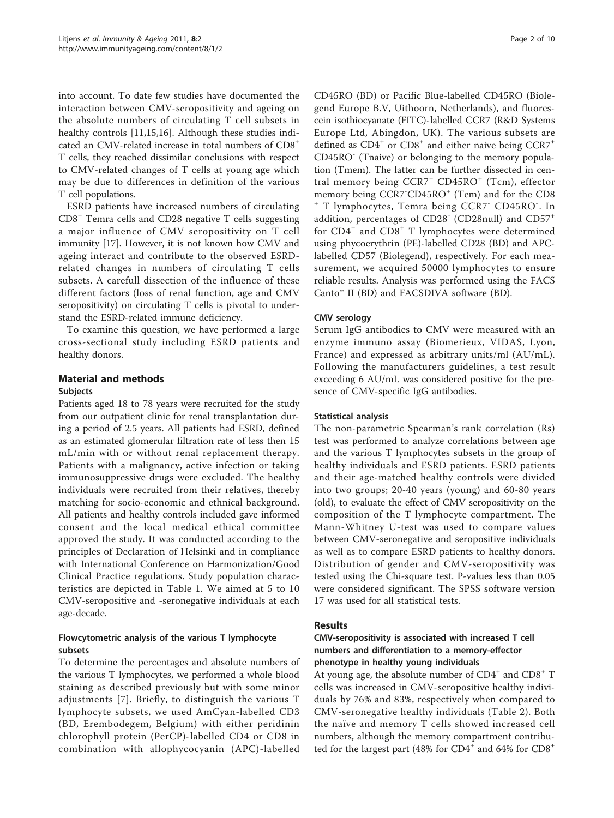into account. To date few studies have documented the interaction between CMV-seropositivity and ageing on the absolute numbers of circulating T cell subsets in healthy controls [[11,15,16\]](#page-8-0). Although these studies indicated an CMV-related increase in total numbers of CD8+ T cells, they reached dissimilar conclusions with respect to CMV-related changes of T cells at young age which may be due to differences in definition of the various T cell populations.

ESRD patients have increased numbers of circulating CD8<sup>+</sup> Temra cells and CD28 negative T cells suggesting a major influence of CMV seropositivity on T cell immunity [[17\]](#page-9-0). However, it is not known how CMV and ageing interact and contribute to the observed ESRDrelated changes in numbers of circulating T cells subsets. A carefull dissection of the influence of these different factors (loss of renal function, age and CMV seropositivity) on circulating T cells is pivotal to understand the ESRD-related immune deficiency.

To examine this question, we have performed a large cross-sectional study including ESRD patients and healthy donors.

# Material and methods

## Subjects

Patients aged 18 to 78 years were recruited for the study from our outpatient clinic for renal transplantation during a period of 2.5 years. All patients had ESRD, defined as an estimated glomerular filtration rate of less then 15 mL/min with or without renal replacement therapy. Patients with a malignancy, active infection or taking immunosuppressive drugs were excluded. The healthy individuals were recruited from their relatives, thereby matching for socio-economic and ethnical background. All patients and healthy controls included gave informed consent and the local medical ethical committee approved the study. It was conducted according to the principles of Declaration of Helsinki and in compliance with International Conference on Harmonization/Good Clinical Practice regulations. Study population characteristics are depicted in Table [1.](#page-2-0) We aimed at 5 to 10 CMV-seropositive and -seronegative individuals at each age-decade.

# Flowcytometric analysis of the various T lymphocyte subsets

To determine the percentages and absolute numbers of the various T lymphocytes, we performed a whole blood staining as described previously but with some minor adjustments [[7](#page-8-0)]. Briefly, to distinguish the various T lymphocyte subsets, we used AmCyan-labelled CD3 (BD, Erembodegem, Belgium) with either peridinin chlorophyll protein (PerCP)-labelled CD4 or CD8 in combination with allophycocyanin (APC)-labelled

CD45RO (BD) or Pacific Blue-labelled CD45RO (Biolegend Europe B.V, Uithoorn, Netherlands), and fluorescein isothiocyanate (FITC)-labelled CCR7 (R&D Systems Europe Ltd, Abingdon, UK). The various subsets are defined as  $CD4^+$  or  $CD8^+$  and either naive being  $CCRT^+$ CD45RO<sup>-</sup> (Tnaive) or belonging to the memory population (Tmem). The latter can be further dissected in central memory being  $CCR7$ <sup>+</sup>  $CD45RO$ <sup>+</sup> (Tcm), effector memory being CCR7<sup>-</sup>CD45RO<sup>+</sup> (Tem) and for the CD8 memory being CCR7<sup>-</sup>CD45RO<sup>+</sup> (Tem) and for the CD8<br><sup>+</sup> T lymphocytes, Temra being CCR7<sup>-</sup> CD45RO<sup>-</sup>. In addition, percentages of CD28<sup>-</sup> (CD28null) and CD57<sup>+</sup> for  $CD4^+$  and  $CD8^+$  T lymphocytes were determined using phycoerythrin (PE)-labelled CD28 (BD) and APClabelled CD57 (Biolegend), respectively. For each measurement, we acquired 50000 lymphocytes to ensure reliable results. Analysis was performed using the FACS Canto™ II (BD) and FACSDIVA software (BD).

# CMV serology

Serum IgG antibodies to CMV were measured with an enzyme immuno assay (Biomerieux, VIDAS, Lyon, France) and expressed as arbitrary units/ml (AU/mL). Following the manufacturers guidelines, a test result exceeding 6 AU/mL was considered positive for the presence of CMV-specific IgG antibodies.

# Statistical analysis

The non-parametric Spearman's rank correlation (Rs) test was performed to analyze correlations between age and the various T lymphocytes subsets in the group of healthy individuals and ESRD patients. ESRD patients and their age-matched healthy controls were divided into two groups; 20-40 years (young) and 60-80 years (old), to evaluate the effect of CMV seropositivity on the composition of the T lymphocyte compartment. The Mann-Whitney U-test was used to compare values between CMV-seronegative and seropositive individuals as well as to compare ESRD patients to healthy donors. Distribution of gender and CMV-seropositivity was tested using the Chi-square test. P-values less than 0.05 were considered significant. The SPSS software version 17 was used for all statistical tests.

# Results

# CMV-seropositivity is associated with increased T cell numbers and differentiation to a memory-effector phenotype in healthy young individuals

At young age, the absolute number of CD4<sup>+</sup> and CD8<sup>+</sup> T cells was increased in CMV-seropositive healthy individuals by 76% and 83%, respectively when compared to CMV-seronegative healthy individuals (Table [2](#page-3-0)). Both the naïve and memory T cells showed increased cell numbers, although the memory compartment contributed for the largest part (48% for  $CD4^+$  and 64% for  $CD8^+$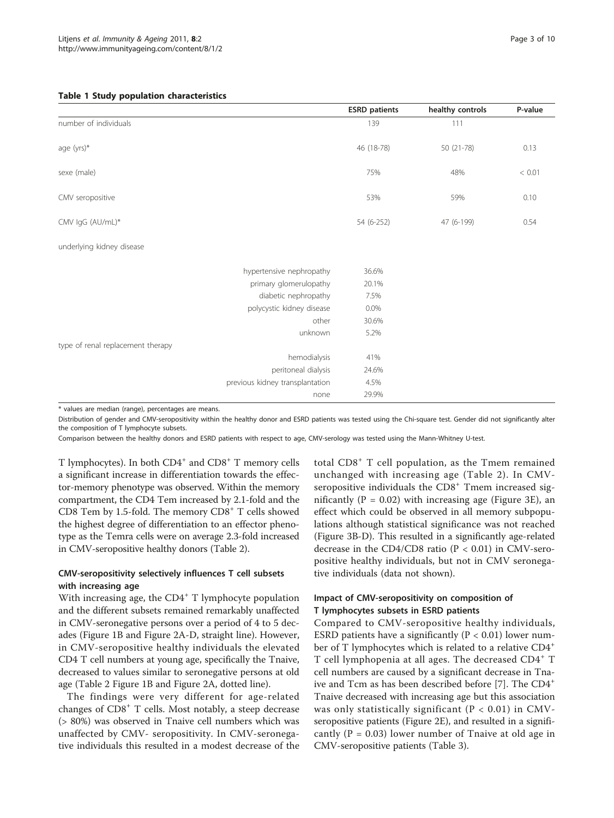#### <span id="page-2-0"></span>Table 1 Study population characteristics

|                                   |                                 | <b>ESRD</b> patients | healthy controls | P-value |
|-----------------------------------|---------------------------------|----------------------|------------------|---------|
| number of individuals             |                                 | 139                  | 111              |         |
| age (yrs)*                        |                                 | 46 (18-78)           | 50 (21-78)       | 0.13    |
| sexe (male)                       |                                 | 75%                  | 48%              | < 0.01  |
| CMV seropositive                  |                                 | 53%                  | 59%              | 0.10    |
| CMV IgG (AU/mL)*                  |                                 | 54 (6-252)           | 47 (6-199)       | 0.54    |
| underlying kidney disease         |                                 |                      |                  |         |
|                                   | hypertensive nephropathy        | 36.6%                |                  |         |
|                                   | primary glomerulopathy          | 20.1%                |                  |         |
|                                   | diabetic nephropathy            | 7.5%                 |                  |         |
|                                   | polycystic kidney disease       | 0.0%                 |                  |         |
|                                   | other                           | 30.6%                |                  |         |
|                                   | unknown                         | 5.2%                 |                  |         |
| type of renal replacement therapy |                                 |                      |                  |         |
|                                   | hemodialysis                    | 41%                  |                  |         |
|                                   | peritoneal dialysis             | 24.6%                |                  |         |
|                                   | previous kidney transplantation | 4.5%                 |                  |         |
|                                   | none                            | 29.9%                |                  |         |

\* values are median (range), percentages are means.

Distribution of gender and CMV-seropositivity within the healthy donor and ESRD patients was tested using the Chi-square test. Gender did not significantly alter the composition of T lymphocyte subsets.

Comparison between the healthy donors and ESRD patients with respect to age, CMV-serology was tested using the Mann-Whitney U-test.

T lymphocytes). In both CD4<sup>+</sup> and CD8<sup>+</sup> T memory cells a significant increase in differentiation towards the effector-memory phenotype was observed. Within the memory compartment, the CD4 Tem increased by 2.1-fold and the CD8 Tem by 1.5-fold. The memory  $CD8<sup>+</sup>$  T cells showed the highest degree of differentiation to an effector phenotype as the Temra cells were on average 2.3-fold increased in CMV-seropositive healthy donors (Table [2\)](#page-3-0).

# CMV-seropositivity selectively influences T cell subsets with increasing age

With increasing age, the CD4<sup>+</sup> T lymphocyte population and the different subsets remained remarkably unaffected in CMV-seronegative persons over a period of 4 to 5 decades (Figure [1B](#page-4-0) and Figure [2A-D,](#page-5-0) straight line). However, in CMV-seropositive healthy individuals the elevated CD4 T cell numbers at young age, specifically the Tnaive, decreased to values similar to seronegative persons at old age (Table [2](#page-3-0) Figure [1B](#page-4-0) and Figure [2A,](#page-5-0) dotted line).

The findings were very different for age-related changes of CD8+ T cells. Most notably, a steep decrease (> 80%) was observed in Tnaive cell numbers which was unaffected by CMV- seropositivity. In CMV-seronegative individuals this resulted in a modest decrease of the

total CD8<sup>+</sup> T cell population, as the Tmem remained unchanged with increasing age (Table [2\)](#page-3-0). In CMVseropositive individuals the  $CD8<sup>+</sup>$  Tmem increased significantly ( $P = 0.02$ ) with increasing age (Figure [3E\)](#page-6-0), an effect which could be observed in all memory subpopulations although statistical significance was not reached (Figure [3B-D](#page-6-0)). This resulted in a significantly age-related decrease in the CD4/CD8 ratio ( $P < 0.01$ ) in CMV-seropositive healthy individuals, but not in CMV seronegative individuals (data not shown).

# Impact of CMV-seropositivity on composition of T lymphocytes subsets in ESRD patients

Compared to CMV-seropositive healthy individuals, ESRD patients have a significantly ( $P < 0.01$ ) lower number of T lymphocytes which is related to a relative CD4<sup>+</sup> T cell lymphopenia at all ages. The decreased CD4<sup>+</sup> T cell numbers are caused by a significant decrease in Tna-ive and Tcm as has been described before [[7\]](#page-8-0). The CD4<sup>+</sup> Tnaive decreased with increasing age but this association was only statistically significant ( $P < 0.01$ ) in CMVseropositive patients (Figure [2E](#page-5-0)), and resulted in a significantly ( $P = 0.03$ ) lower number of Tnaive at old age in CMV-seropositive patients (Table [3\)](#page-7-0).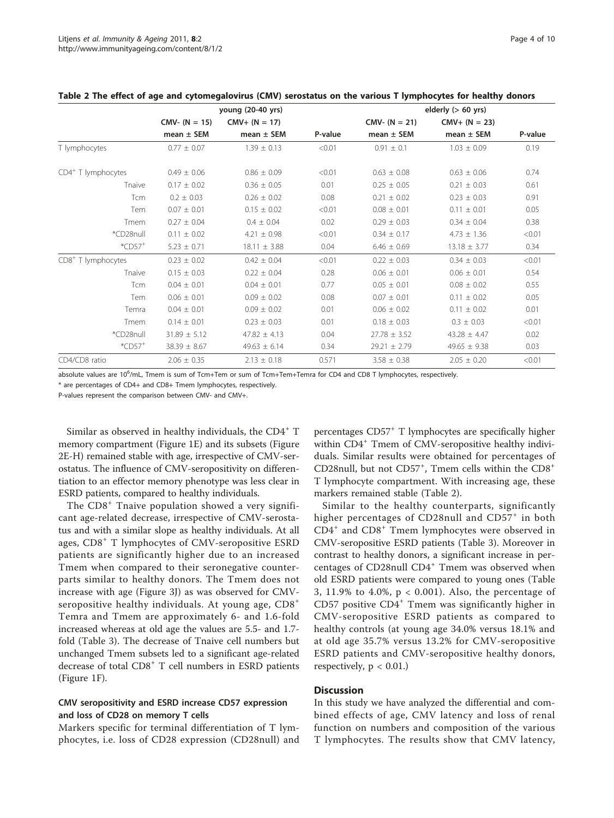|                                | young (20-40 yrs) |                  |         | elderly $(> 60 \text{ yrs})$ |                  |         |
|--------------------------------|-------------------|------------------|---------|------------------------------|------------------|---------|
|                                | $CMV - (N = 15)$  | $CMV+ (N = 17)$  |         | $CMV - (N = 21)$             | $CMV+ (N = 23)$  |         |
|                                | $mean \pm SEM$    | $mean \pm SEM$   | P-value | $mean \pm SEM$               | $mean \pm SEM$   | P-value |
| T lymphocytes                  | $0.77 \pm 0.07$   | $1.39 \pm 0.13$  | < 0.01  | $0.91 \pm 0.1$               | $1.03 \pm 0.09$  | 0.19    |
| CD4 <sup>+</sup> T lymphocytes | $0.49 \pm 0.06$   | $0.86 \pm 0.09$  | < 0.01  | $0.63 \pm 0.08$              | $0.63 \pm 0.06$  | 0.74    |
| Tnaive                         | $0.17 \pm 0.02$   | $0.36 \pm 0.05$  | 0.01    | $0.25 \pm 0.05$              | $0.21 \pm 0.03$  | 0.61    |
| Tcm                            | $0.2 \pm 0.03$    | $0.26 \pm 0.02$  | 0.08    | $0.21 \pm 0.02$              | $0.23 \pm 0.03$  | 0.91    |
| Tem                            | $0.07 \pm 0.01$   | $0.15 \pm 0.02$  | < 0.01  | $0.08 \pm 0.01$              | $0.11 \pm 0.01$  | 0.05    |
| Tmem                           | $0.27 \pm 0.04$   | $0.4 \pm 0.04$   | 0.02    | $0.29 \pm 0.03$              | $0.34 \pm 0.04$  | 0.38    |
| *CD28null                      | $0.11 \pm 0.02$   | $4.21 \pm 0.98$  | < 0.01  | $0.34 \pm 0.17$              | $4.73 \pm 1.36$  | < 0.01  |
| $^*$ CD57 <sup>+</sup>         | $5.23 \pm 0.71$   | $18.11 \pm 3.88$ | 0.04    | $6.46 \pm 0.69$              | $13.18 \pm 3.77$ | 0.34    |
| CD8 <sup>+</sup> T lymphocytes | $0.23 \pm 0.02$   | $0.42 \pm 0.04$  | < 0.01  | $0.22 \pm 0.03$              | $0.34 \pm 0.03$  | < 0.01  |
| Tnaive                         | $0.15 \pm 0.03$   | $0.22 \pm 0.04$  | 0.28    | $0.06 \pm 0.01$              | $0.06 \pm 0.01$  | 0.54    |
| Tcm                            | $0.04 \pm 0.01$   | $0.04 \pm 0.01$  | 0.77    | $0.05 \pm 0.01$              | $0.08 \pm 0.02$  | 0.55    |
| Tem                            | $0.06 \pm 0.01$   | $0.09 \pm 0.02$  | 0.08    | $0.07 \pm 0.01$              | $0.11 \pm 0.02$  | 0.05    |
| Temra                          | $0.04 \pm 0.01$   | $0.09 \pm 0.02$  | 0.01    | $0.06 \pm 0.02$              | $0.11 \pm 0.02$  | 0.01    |
| Tmem                           | $0.14 \pm 0.01$   | $0.23 \pm 0.03$  | 0.01    | $0.18 \pm 0.03$              | $0.3 \pm 0.03$   | < 0.01  |
| *CD28null                      | $31.89 \pm 5.12$  | $47.82 \pm 4.13$ | 0.04    | $27.78 \pm 3.52$             | $43.28 \pm 4.47$ | 0.02    |
| $^*$ CD57 <sup>+</sup>         | $38.39 \pm 8.67$  | $49.63 \pm 6.14$ | 0.34    | $29.21 \pm 2.79$             | $49.65 \pm 9.38$ | 0.03    |
| CD4/CD8 ratio                  | $2.06 \pm 0.35$   | $2.13 \pm 0.18$  | 0.571   | $3.58 \pm 0.38$              | $2.05 \pm 0.20$  | < 0.01  |

<span id="page-3-0"></span>

| Table 2 The effect of age and cytomegalovirus (CMV) serostatus on the various T lymphocytes for healthy donors |  |  |
|----------------------------------------------------------------------------------------------------------------|--|--|
|----------------------------------------------------------------------------------------------------------------|--|--|

absolute values are 10<sup>6</sup>/mL, Tmem is sum of Tcm+Tem or sum of Tcm+Tem+Temra for CD4 and CD8 T lymphocytes, respectively.

\* are percentages of CD4+ and CD8+ Tmem lymphocytes, respectively.

P-values represent the comparison between CMV- and CMV+.

Similar as observed in healthy individuals, the  $CD4^+$  T memory compartment (Figure [1E](#page-4-0)) and its subsets (Figure [2E-H](#page-5-0)) remained stable with age, irrespective of CMV-serostatus. The influence of CMV-seropositivity on differentiation to an effector memory phenotype was less clear in ESRD patients, compared to healthy individuals.

The CD8<sup>+</sup> Tnaive population showed a very significant age-related decrease, irrespective of CMV-serostatus and with a similar slope as healthy individuals. At all ages, CD8<sup>+</sup> T lymphocytes of CMV-seropositive ESRD patients are significantly higher due to an increased Tmem when compared to their seronegative counterparts similar to healthy donors. The Tmem does not increase with age (Figure [3J\)](#page-6-0) as was observed for CMVseropositive healthy individuals. At young age,  $CDS^+$ Temra and Tmem are approximately 6- and 1.6-fold increased whereas at old age the values are 5.5- and 1.7 fold (Table [3\)](#page-7-0). The decrease of Tnaive cell numbers but unchanged Tmem subsets led to a significant age-related decrease of total CD8<sup>+</sup> T cell numbers in ESRD patients (Figure [1F\)](#page-4-0).

# CMV seropositivity and ESRD increase CD57 expression and loss of CD28 on memory T cells

Markers specific for terminal differentiation of T lymphocytes, i.e. loss of CD28 expression (CD28null) and

percentages CD57+ T lymphocytes are specifically higher within CD4<sup>+</sup> Tmem of CMV-seropositive healthy individuals. Similar results were obtained for percentages of CD28null, but not CD57<sup>+</sup>, Tmem cells within the CD8<sup>+</sup> T lymphocyte compartment. With increasing age, these markers remained stable (Table 2).

Similar to the healthy counterparts, significantly higher percentages of CD28null and CD57<sup>+</sup> in both  $CD4<sup>+</sup>$  and  $CD8<sup>+</sup>$  Tmem lymphocytes were observed in CMV-seropositive ESRD patients (Table [3\)](#page-7-0). Moreover in contrast to healthy donors, a significant increase in percentages of CD28null CD4<sup>+</sup> Tmem was observed when old ESRD patients were compared to young ones (Table [3,](#page-7-0) 11.9% to 4.0%, p < 0.001). Also, the percentage of CD57 positive CD4<sup>+</sup> Tmem was significantly higher in CMV-seropositive ESRD patients as compared to healthy controls (at young age 34.0% versus 18.1% and at old age 35.7% versus 13.2% for CMV-seropositive ESRD patients and CMV-seropositive healthy donors, respectively,  $p < 0.01$ .)

# **Discussion**

In this study we have analyzed the differential and combined effects of age, CMV latency and loss of renal function on numbers and composition of the various T lymphocytes. The results show that CMV latency,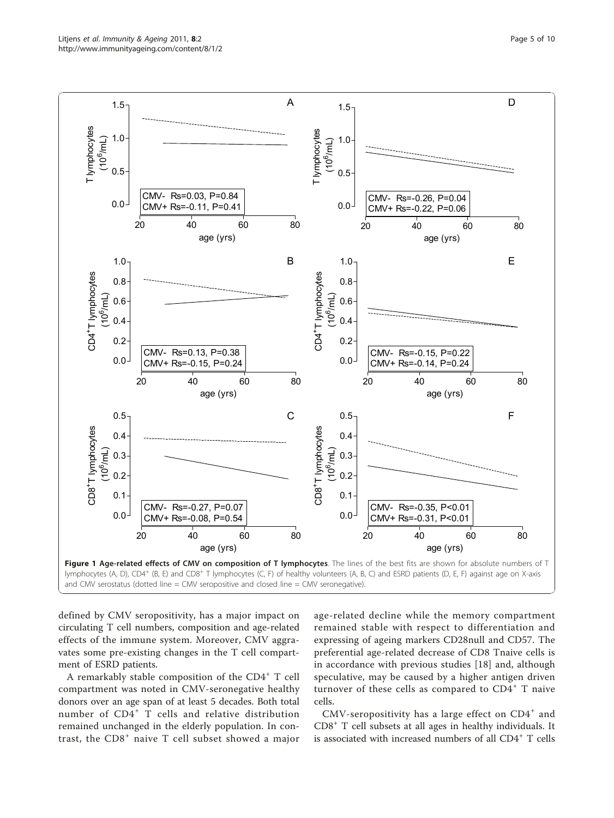<span id="page-4-0"></span>

defined by CMV seropositivity, has a major impact on circulating T cell numbers, composition and age-related effects of the immune system. Moreover, CMV aggravates some pre-existing changes in the T cell compartment of ESRD patients.

A remarkably stable composition of the CD4<sup>+</sup> T cell compartment was noted in CMV-seronegative healthy donors over an age span of at least 5 decades. Both total number of CD4<sup>+</sup> T cells and relative distribution remained unchanged in the elderly population. In contrast, the  $CDS<sup>+</sup>$  naive T cell subset showed a major

age-related decline while the memory compartment remained stable with respect to differentiation and expressing of ageing markers CD28null and CD57. The preferential age-related decrease of CD8 Tnaive cells is in accordance with previous studies [[18\]](#page-9-0) and, although speculative, may be caused by a higher antigen driven turnover of these cells as compared to  $CD4^+$  T naive cells.

CMV-seropositivity has a large effect on  $CD4^+$  and CD8<sup>+</sup> T cell subsets at all ages in healthy individuals. It is associated with increased numbers of all  $CD4^+$  T cells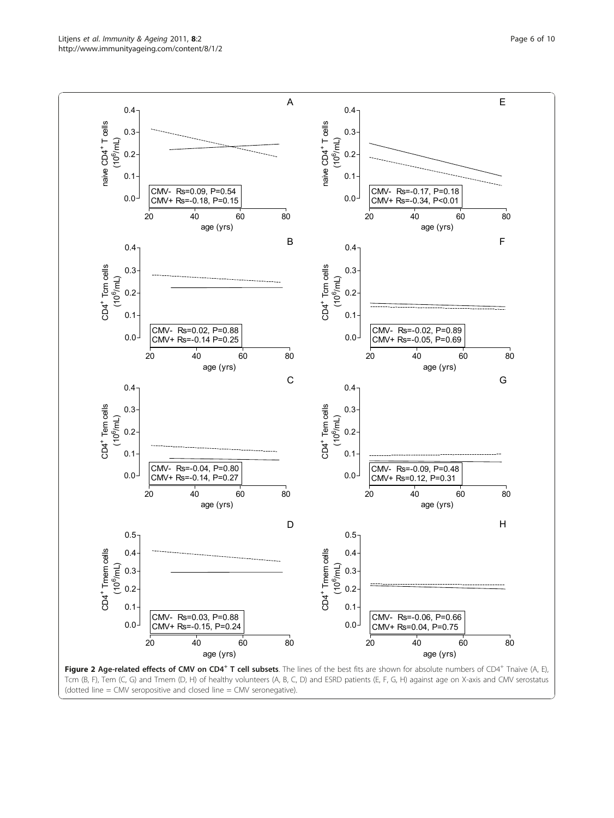<span id="page-5-0"></span>

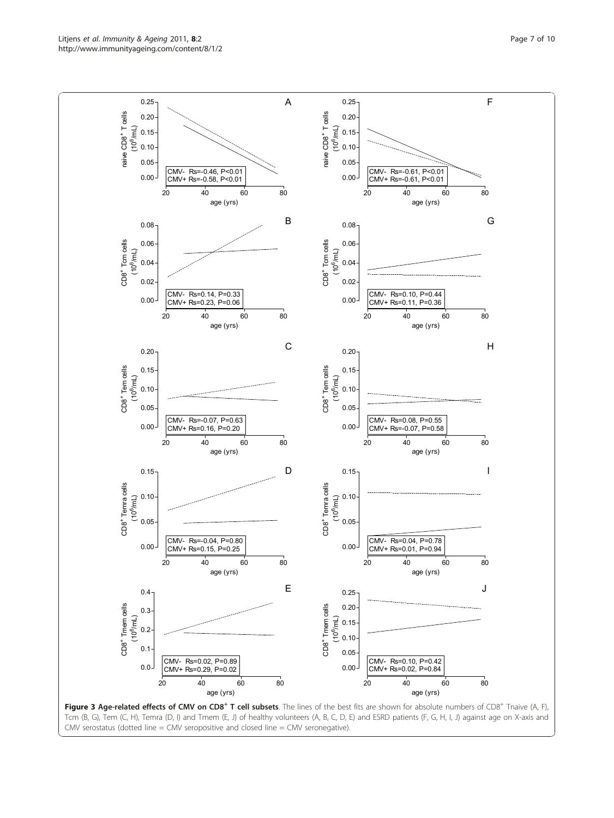<span id="page-6-0"></span>

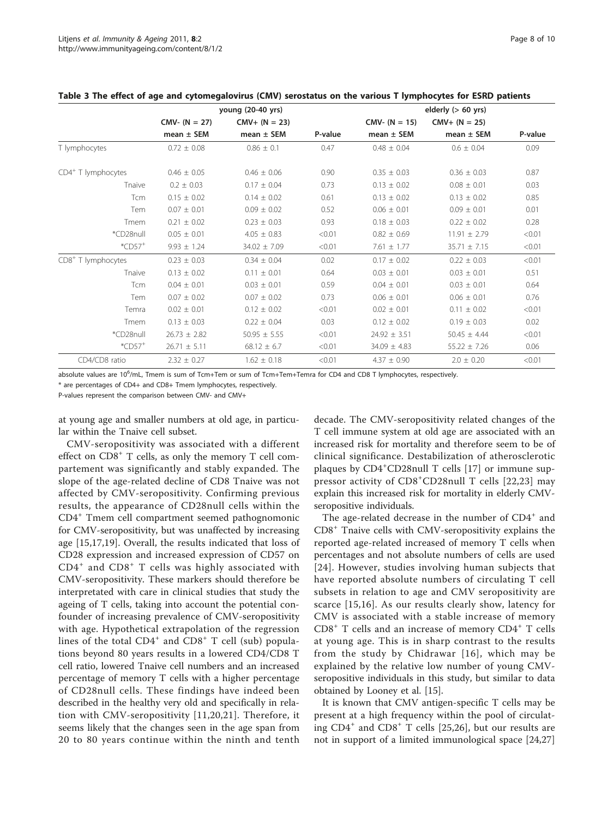|                                | young (20-40 yrs) |                  | elderly $(> 60 \text{ yrs})$ |                  |                  |         |
|--------------------------------|-------------------|------------------|------------------------------|------------------|------------------|---------|
|                                | $CMV - (N = 27)$  | $CMV+ (N = 23)$  |                              | $CMV - (N = 15)$ | $CMV+ (N = 25)$  |         |
|                                | mean $\pm$ SEM    | mean $\pm$ SEM   | P-value                      | $mean \pm SEM$   | $mean \pm SEM$   | P-value |
| T lymphocytes                  | $0.72 \pm 0.08$   | $0.86 \pm 0.1$   | 0.47                         | $0.48 \pm 0.04$  | $0.6 \pm 0.04$   | 0.09    |
| $CD4+$ T lymphocytes           | $0.46 \pm 0.05$   | $0.46 \pm 0.06$  | 0.90                         | $0.35 \pm 0.03$  | $0.36 \pm 0.03$  | 0.87    |
| Tnaive                         | $0.2 \pm 0.03$    | $0.17 \pm 0.04$  | 0.73                         | $0.13 \pm 0.02$  | $0.08 \pm 0.01$  | 0.03    |
| <b>Tcm</b>                     | $0.15 \pm 0.02$   | $0.14 \pm 0.02$  | 0.61                         | $0.13 \pm 0.02$  | $0.13 \pm 0.02$  | 0.85    |
| Tem                            | $0.07 \pm 0.01$   | $0.09 \pm 0.02$  | 0.52                         | $0.06 \pm 0.01$  | $0.09 \pm 0.01$  | 0.01    |
| Tmem                           | $0.21 \pm 0.02$   | $0.23 \pm 0.03$  | 0.93                         | $0.18 \pm 0.03$  | $0.22 \pm 0.02$  | 0.28    |
| *CD28null                      | $0.05 \pm 0.01$   | $4.05 \pm 0.83$  | < 0.01                       | $0.82 \pm 0.69$  | $11.91 \pm 2.79$ | < 0.01  |
| $^*$ CD57 <sup>+</sup>         | $9.93 \pm 1.24$   | $34.02 \pm 7.09$ | < 0.01                       | $7.61 \pm 1.77$  | $35.71 \pm 7.15$ | < 0.01  |
| CD8 <sup>+</sup> T lymphocytes | $0.23 \pm 0.03$   | $0.34 \pm 0.04$  | 0.02                         | $0.17 \pm 0.02$  | $0.22 \pm 0.03$  | < 0.01  |
| Tnaive                         | $0.13 \pm 0.02$   | $0.11 \pm 0.01$  | 0.64                         | $0.03 \pm 0.01$  | $0.03 \pm 0.01$  | 0.51    |
| Tcm                            | $0.04 \pm 0.01$   | $0.03 \pm 0.01$  | 0.59                         | $0.04 \pm 0.01$  | $0.03 \pm 0.01$  | 0.64    |
| Tem                            | $0.07 \pm 0.02$   | $0.07 \pm 0.02$  | 0.73                         | $0.06 \pm 0.01$  | $0.06 \pm 0.01$  | 0.76    |
| Temra                          | $0.02 \pm 0.01$   | $0.12 \pm 0.02$  | < 0.01                       | $0.02 \pm 0.01$  | $0.11 \pm 0.02$  | < 0.01  |
| Tmem                           | $0.13 \pm 0.03$   | $0.22 \pm 0.04$  | 0.03                         | $0.12 \pm 0.02$  | $0.19 \pm 0.03$  | 0.02    |
| *CD28null                      | $26.73 \pm 2.82$  | $50.95 \pm 5.55$ | < 0.01                       | $24.92 \pm 3.51$ | $50.45 \pm 4.44$ | < 0.01  |
| $^*$ CD57 <sup>+</sup>         | $26.71 \pm 5.11$  | $68.12 \pm 6.7$  | < 0.01                       | $34.09 \pm 4.83$ | $55.22 \pm 7.26$ | 0.06    |
| CD4/CD8 ratio                  | $2.32 \pm 0.27$   | $1.62 \pm 0.18$  | < 0.01                       | $4.37 \pm 0.90$  | $2.0 \pm 0.20$   | < 0.01  |

<span id="page-7-0"></span>

| Table 3 The effect of age and cytomegalovirus (CMV) serostatus on the various T lymphocytes for ESRD patients |  |  |  |  |
|---------------------------------------------------------------------------------------------------------------|--|--|--|--|
|---------------------------------------------------------------------------------------------------------------|--|--|--|--|

absolute values are 10<sup>6</sup>/mL, Tmem is sum of Tcm+Tem or sum of Tcm+Tem+Temra for CD4 and CD8 T lymphocytes, respectively.

\* are percentages of CD4+ and CD8+ Tmem lymphocytes, respectively.

P-values represent the comparison between CMV- and CMV+

at young age and smaller numbers at old age, in particular within the Tnaive cell subset.

CMV-seropositivity was associated with a different effect on  $CDS^+$  T cells, as only the memory T cell compartement was significantly and stably expanded. The slope of the age-related decline of CD8 Tnaive was not affected by CMV-seropositivity. Confirming previous results, the appearance of CD28null cells within the CD4<sup>+</sup> Tmem cell compartment seemed pathognomonic for CMV-seropositivity, but was unaffected by increasing age [[15,](#page-8-0)[17,19](#page-9-0)]. Overall, the results indicated that loss of CD28 expression and increased expression of CD57 on  $CD4^+$  and  $CD8^+$  T cells was highly associated with CMV-seropositivity. These markers should therefore be interpretated with care in clinical studies that study the ageing of T cells, taking into account the potential confounder of increasing prevalence of CMV-seropositivity with age. Hypothetical extrapolation of the regression lines of the total  $CD4^+$  and  $CD8^+$  T cell (sub) populations beyond 80 years results in a lowered CD4/CD8 T cell ratio, lowered Tnaive cell numbers and an increased percentage of memory T cells with a higher percentage of CD28null cells. These findings have indeed been described in the healthy very old and specifically in relation with CMV-seropositivity [[11](#page-8-0),[20](#page-9-0),[21\]](#page-9-0). Therefore, it seems likely that the changes seen in the age span from 20 to 80 years continue within the ninth and tenth

decade. The CMV-seropositivity related changes of the T cell immune system at old age are associated with an increased risk for mortality and therefore seem to be of clinical significance. Destabilization of atherosclerotic plaques by CD4<sup>+</sup>CD28null T cells [[17\]](#page-9-0) or immune suppressor activity of CD8<sup>+</sup> CD28null T cells [\[22,23](#page-9-0)] may explain this increased risk for mortality in elderly CMVseropositive individuals.

The age-related decrease in the number of  $CD4^+$  and CD8<sup>+</sup> Tnaive cells with CMV-seropositivity explains the reported age-related increased of memory T cells when percentages and not absolute numbers of cells are used [[24\]](#page-9-0). However, studies involving human subjects that have reported absolute numbers of circulating T cell subsets in relation to age and CMV seropositivity are scarce [[15,16\]](#page-8-0). As our results clearly show, latency for CMV is associated with a stable increase of memory  $CD8<sup>+</sup>$  T cells and an increase of memory  $CD4<sup>+</sup>$  T cells at young age. This is in sharp contrast to the results from the study by Chidrawar [[16](#page-8-0)], which may be explained by the relative low number of young CMVseropositive individuals in this study, but similar to data obtained by Looney et al. [\[15\]](#page-8-0).

It is known that CMV antigen-specific T cells may be present at a high frequency within the pool of circulating  $CD4^+$  and  $CD8^+$  T cells [[25,26\]](#page-9-0), but our results are not in support of a limited immunological space [\[24](#page-9-0),[27](#page-9-0)]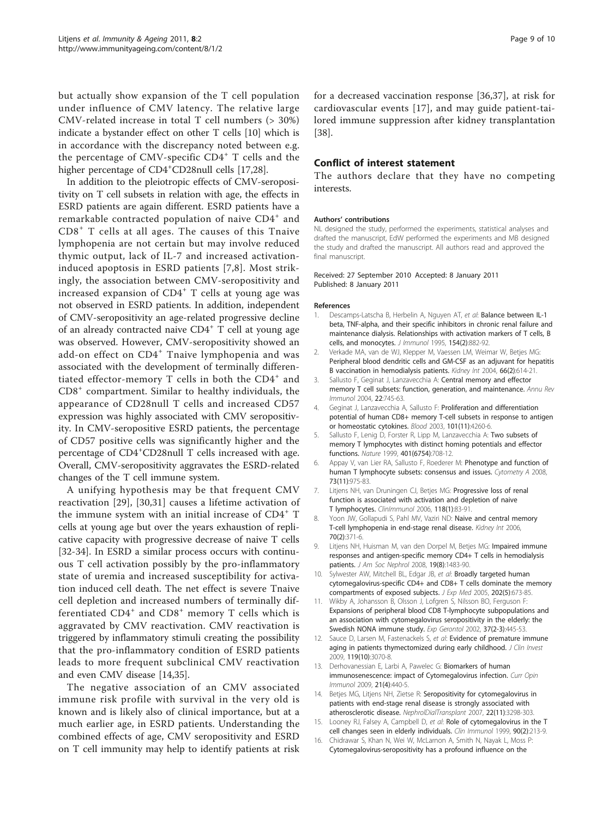<span id="page-8-0"></span>but actually show expansion of the T cell population under influence of CMV latency. The relative large CMV-related increase in total T cell numbers (> 30%) indicate a bystander effect on other T cells [10] which is in accordance with the discrepancy noted between e.g. the percentage of CMV-specific  $CD4^+$  T cells and the higher percentage of CD4<sup>+</sup>CD28null cells [[17,28](#page-9-0)].

In addition to the pleiotropic effects of CMV-seropositivity on T cell subsets in relation with age, the effects in ESRD patients are again different. ESRD patients have a remarkable contracted population of naive CD4<sup>+</sup> and CD8<sup>+</sup> T cells at all ages. The causes of this Tnaive lymphopenia are not certain but may involve reduced thymic output, lack of IL-7 and increased activationinduced apoptosis in ESRD patients [7,8]. Most strikingly, the association between CMV-seropositivity and increased expansion of  $CD4^+$  T cells at young age was not observed in ESRD patients. In addition, independent of CMV-seropositivity an age-related progressive decline of an already contracted naive CD4<sup>+</sup> T cell at young age was observed. However, CMV-seropositivity showed an add-on effect on CD4<sup>+</sup> Tnaive lymphopenia and was associated with the development of terminally differentiated effector-memory  $T$  cells in both the  $CD4^+$  and CD8<sup>+</sup> compartment. Similar to healthy individuals, the appearance of CD28null T cells and increased CD57 expression was highly associated with CMV seropositivity. In CMV-seropositive ESRD patients, the percentage of CD57 positive cells was significantly higher and the percentage of CD4<sup>+</sup>CD28null T cells increased with age. Overall, CMV-seropositivity aggravates the ESRD-related changes of the T cell immune system.

A unifying hypothesis may be that frequent CMV reactivation [[29\]](#page-9-0), [\[30](#page-9-0),[31\]](#page-9-0) causes a lifetime activation of the immune system with an initial increase of CD4<sup>+</sup> T cells at young age but over the years exhaustion of replicative capacity with progressive decrease of naive T cells [[32-34](#page-9-0)]. In ESRD a similar process occurs with continuous T cell activation possibly by the pro-inflammatory state of uremia and increased susceptibility for activation induced cell death. The net effect is severe Tnaive cell depletion and increased numbers of terminally differentiated  $CD4^+$  and  $CD8^+$  memory T cells which is aggravated by CMV reactivation. CMV reactivation is triggered by inflammatory stimuli creating the possibility that the pro-inflammatory condition of ESRD patients leads to more frequent subclinical CMV reactivation and even CMV disease [14[,35\]](#page-9-0).

The negative association of an CMV associated immune risk profile with survival in the very old is known and is likely also of clinical importance, but at a much earlier age, in ESRD patients. Understanding the combined effects of age, CMV seropositivity and ESRD on T cell immunity may help to identify patients at risk

for a decreased vaccination response [[36,37](#page-9-0)], at risk for cardiovascular events [[17\]](#page-9-0), and may guide patient-tailored immune suppression after kidney transplantation [[38\]](#page-9-0).

### Conflict of interest statement

The authors declare that they have no competing interests.

#### Authors' contributions

NL designed the study, performed the experiments, statistical analyses and drafted the manuscript, EdW performed the experiments and MB designed the study and drafted the manuscript. All authors read and approved the final manuscript.

Received: 27 September 2010 Accepted: 8 January 2011 Published: 8 January 2011

#### References

- Descamps-Latscha B, Herbelin A, Nguyen AT, et al: [Balance between IL-1](http://www.ncbi.nlm.nih.gov/pubmed/7814891?dopt=Abstract) [beta, TNF-alpha, and their specific inhibitors in chronic renal failure and](http://www.ncbi.nlm.nih.gov/pubmed/7814891?dopt=Abstract) [maintenance dialysis. Relationships with activation markers of T cells, B](http://www.ncbi.nlm.nih.gov/pubmed/7814891?dopt=Abstract) [cells, and monocytes.](http://www.ncbi.nlm.nih.gov/pubmed/7814891?dopt=Abstract) J Immunol 1995, 154(2):882-92.
- 2. Verkade MA, van de WJ, Klepper M, Vaessen LM, Weimar W, Betjes MG: [Peripheral blood dendritic cells and GM-CSF as an adjuvant for hepatitis](http://www.ncbi.nlm.nih.gov/pubmed/15253714?dopt=Abstract) [B vaccination in hemodialysis patients.](http://www.ncbi.nlm.nih.gov/pubmed/15253714?dopt=Abstract) Kidney Int 2004, 66(2):614-21.
- 3. Sallusto F, Geginat J, Lanzavecchia A: [Central memory and effector](http://www.ncbi.nlm.nih.gov/pubmed/15032595?dopt=Abstract) [memory T cell subsets: function, generation, and maintenance.](http://www.ncbi.nlm.nih.gov/pubmed/15032595?dopt=Abstract) Annu Rev Immunol 2004, 22:745-63.
- 4. Geginat J, Lanzavecchia A, Sallusto F: [Proliferation and differentiation](http://www.ncbi.nlm.nih.gov/pubmed/12576317?dopt=Abstract) [potential of human CD8+ memory T-cell subsets in response to antigen](http://www.ncbi.nlm.nih.gov/pubmed/12576317?dopt=Abstract) [or homeostatic cytokines.](http://www.ncbi.nlm.nih.gov/pubmed/12576317?dopt=Abstract) Blood 2003, 101(11):4260-6.
- 5. Sallusto F, Lenig D, Forster R, Lipp M, Lanzavecchia A: [Two subsets of](http://www.ncbi.nlm.nih.gov/pubmed/10537110?dopt=Abstract) [memory T lymphocytes with distinct homing potentials and effector](http://www.ncbi.nlm.nih.gov/pubmed/10537110?dopt=Abstract) [functions.](http://www.ncbi.nlm.nih.gov/pubmed/10537110?dopt=Abstract) Nature 1999, 401(6754):708-12.
- 6. Appay V, van Lier RA, Sallusto F, Roederer M: [Phenotype and function of](http://www.ncbi.nlm.nih.gov/pubmed/18785267?dopt=Abstract) [human T lymphocyte subsets: consensus and issues.](http://www.ncbi.nlm.nih.gov/pubmed/18785267?dopt=Abstract) Cytometry A 2008. 73(11):975-83.
- 7. Litjens NH, van Druningen CJ, Betjes MG: Progressive loss of renal function is associated with activation and depletion of naive T lymphocytes. ClinImmunol 2006, 118(1):83-91.
- 8. Yoon JW, Gollapudi S, Pahl MV, Vaziri ND: [Naive and central memory](http://www.ncbi.nlm.nih.gov/pubmed/16738532?dopt=Abstract) [T-cell lymphopenia in end-stage renal disease.](http://www.ncbi.nlm.nih.gov/pubmed/16738532?dopt=Abstract) Kidney Int 2006, 70(2):371-6.
- 9. Litjens NH, Huisman M, van den Dorpel M, Betjes MG: [Impaired immune](http://www.ncbi.nlm.nih.gov/pubmed/18480314?dopt=Abstract) [responses and antigen-specific memory CD4+ T cells in hemodialysis](http://www.ncbi.nlm.nih.gov/pubmed/18480314?dopt=Abstract) [patients.](http://www.ncbi.nlm.nih.gov/pubmed/18480314?dopt=Abstract) J Am Soc Nephrol 2008, 19(8):1483-90.
- 10. Sylwester AW, Mitchell BL, Edgar JB, et al: [Broadly targeted human](http://www.ncbi.nlm.nih.gov/pubmed/16147978?dopt=Abstract) [cytomegalovirus-specific CD4+ and CD8+ T cells dominate the memory](http://www.ncbi.nlm.nih.gov/pubmed/16147978?dopt=Abstract) [compartments of exposed subjects.](http://www.ncbi.nlm.nih.gov/pubmed/16147978?dopt=Abstract) J Exp Med 2005, 202(5):673-85.
- 11. Wikby A, Johansson B, Olsson J, Lofgren S, Nilsson BO, Ferguson F: [Expansions of peripheral blood CD8 T-lymphocyte subpopulations and](http://www.ncbi.nlm.nih.gov/pubmed/11772532?dopt=Abstract) [an association with cytomegalovirus seropositivity in the elderly: the](http://www.ncbi.nlm.nih.gov/pubmed/11772532?dopt=Abstract) [Swedish NONA immune study.](http://www.ncbi.nlm.nih.gov/pubmed/11772532?dopt=Abstract) Exp Gerontol 2002, 37(2-3):445-53.
- 12. Sauce D, Larsen M, Fastenackels S, et al: [Evidence of premature immune](http://www.ncbi.nlm.nih.gov/pubmed/19770514?dopt=Abstract) [aging in patients thymectomized during early childhood.](http://www.ncbi.nlm.nih.gov/pubmed/19770514?dopt=Abstract) J Clin Invest 2009, 119(10):3070-8.
- 13. Derhovanessian E, Larbi A, Pawelec G: [Biomarkers of human](http://www.ncbi.nlm.nih.gov/pubmed/19535233?dopt=Abstract) [immunosenescence: impact of Cytomegalovirus infection.](http://www.ncbi.nlm.nih.gov/pubmed/19535233?dopt=Abstract) Curr Opin Immunol 2009, 21(4):440-5.
- 14. Betjes MG, Litjens NH, Zietse R: Seropositivity for cytomegalovirus in patients with end-stage renal disease is strongly associated with atherosclerotic disease. NephrolDialTransplant 2007, 22(11):3298-303.
- 15. Looney RJ, Falsey A, Campbell D, et al: [Role of cytomegalovirus in the T](http://www.ncbi.nlm.nih.gov/pubmed/10080833?dopt=Abstract) [cell changes seen in elderly individuals.](http://www.ncbi.nlm.nih.gov/pubmed/10080833?dopt=Abstract) Clin Immunol 1999, 90(2):213-9.
- 16. Chidrawar S, Khan N, Wei W, McLarnon A, Smith N, Nayak L, Moss P: [Cytomegalovirus-seropositivity has a profound influence on the](http://www.ncbi.nlm.nih.gov/pubmed/19220832?dopt=Abstract)